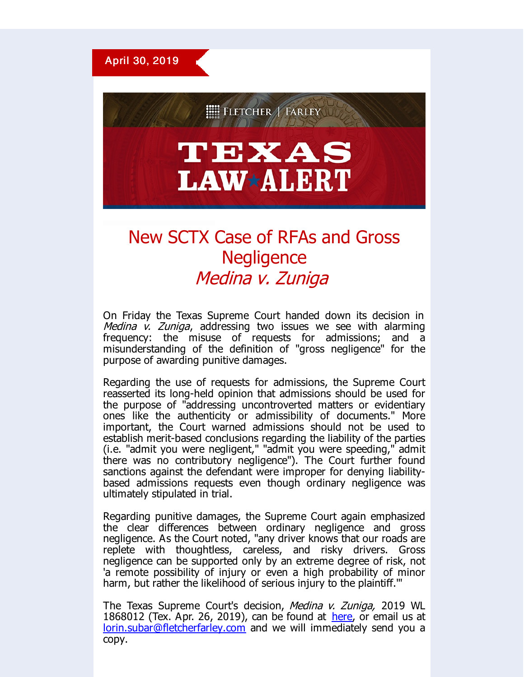

**EEE FLETCHER FARLEY** 

## TEXAS **LAW\*ALERT**

## New SCTX Case of RFAs and Gross **Negligence** Medina v. Zuniga

On Friday the Texas Supreme Court handed down its decision in Medina  $\dot{v}$ . Zuniga, addressing two issues we see with alarming frequency: the misuse of requests for admissions; and a misunderstanding of the definition of "gross negligence" for the purpose of awarding punitive damages.

Regarding the use of requests for admissions, the Supreme Court reasserted its long-held opinion that admissions should be used for the purpose of "addressing uncontroverted matters or evidentiary ones like the authenticity or admissibility of documents." More important, the Court warned admissions should not be used to establish merit-based conclusions regarding the liability of the parties (i.e. "admit you were negligent," "admit you were speeding," admit there was no contributory negligence"). The Court further found sanctions against the defendant were improper for denying liabilitybased admissions requests even though ordinary negligence was ultimately stipulated in trial.

Regarding punitive damages, the Supreme Court again emphasized the clear differences between ordinary negligence and gross negligence. As the Court noted, "any driver knows that our roads are replete with thoughtless, careless, and risky drivers. Gross negligence can be supported only by an extreme degree of risk, not 'a remote possibility of injury or even a high probability of minor harm, but rather the likelihood of serious injury to the plaintiff."

The Texas Supreme Court's decision, Medina v. Zuniga, 2019 WL 1868012 (Tex. Apr. 26, 2019), can be found at [here](http://r20.rs6.net/tn.jsp?f=001c300AtoPTTHn9m7Z8CMIZVKIRLrHCX8nk2z-4S9FeyhavQJnoeV3sMZvLzIv1Gkf86ct_KC90ITxwSWGVYMpNf4gTRcD7Kw0_Er97nNND89vW-CLkvXt_MPKacJ3xe-e3_fUo1RQo1mGzf6GZV5gO2IWCQTDTOumy5jGuMqjwVKGytXtiONZEJtWrP5S3xGDiP4OVEHxF1e2morCv85uD1bRUi00laaPveUSYXr477wQAlljdoz_yLgJzs_1wJtrtg0Gm7kCfCHq8nIENpWiPNLLZFt1S0GicUK_ztpeOOn7-fbpKlLwpF0zW290rQasXxGbGH3AuMNPZBeWLkmmbeNJ5wHJqnUqvi2RdFnjtOqBRjNsA8_byjHPpM7cfwe7&c=&ch=), or email us at [lorin.subar@fletcherfarley.com](mailto:lorin.subar@fletcherfarley.com) and we will immediately send you a copy.